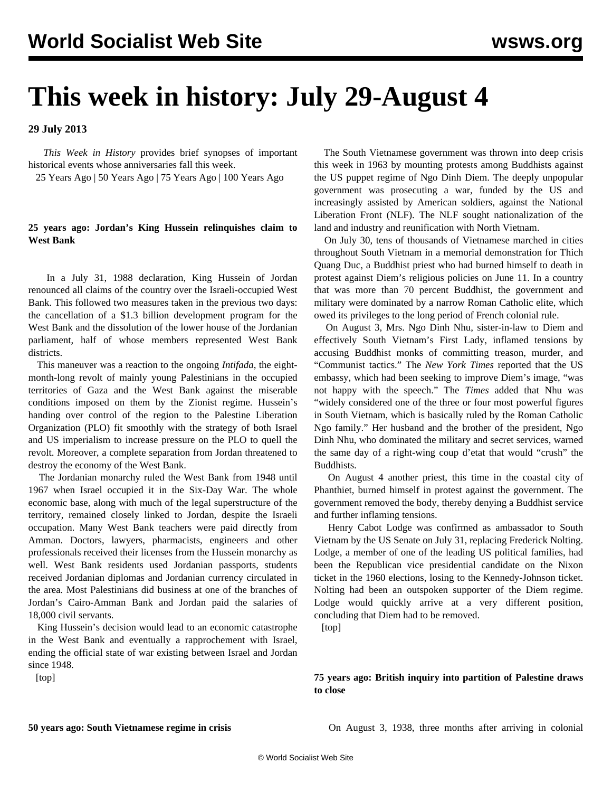## **This week in history: July 29-August 4**

**29 July 2013**

 *This Week in History* provides brief synopses of important historical events whose anniversaries fall this week.

25 Years Ago | 50 Years Ago | 75 Years Ago | 100 Years Ago

## **25 years ago: Jordan's King Hussein relinquishes claim to West Bank**

 In a July 31, 1988 declaration, King Hussein of Jordan renounced all claims of the country over the Israeli-occupied West Bank. This followed two measures taken in the previous two days: the cancellation of a \$1.3 billion development program for the West Bank and the dissolution of the lower house of the Jordanian parliament, half of whose members represented West Bank districts.

 This maneuver was a reaction to the ongoing *Intifada*, the eightmonth-long revolt of mainly young Palestinians in the occupied territories of Gaza and the West Bank against the miserable conditions imposed on them by the Zionist regime. Hussein's handing over control of the region to the Palestine Liberation Organization (PLO) fit smoothly with the strategy of both Israel and US imperialism to increase pressure on the PLO to quell the revolt. Moreover, a complete separation from Jordan threatened to destroy the economy of the West Bank.

 The Jordanian monarchy ruled the West Bank from 1948 until 1967 when Israel occupied it in the Six-Day War. The whole economic base, along with much of the legal superstructure of the territory, remained closely linked to Jordan, despite the Israeli occupation. Many West Bank teachers were paid directly from Amman. Doctors, lawyers, pharmacists, engineers and other professionals received their licenses from the Hussein monarchy as well. West Bank residents used Jordanian passports, students received Jordanian diplomas and Jordanian currency circulated in the area. Most Palestinians did business at one of the branches of Jordan's Cairo-Amman Bank and Jordan paid the salaries of 18,000 civil servants.

 King Hussein's decision would lead to an economic catastrophe in the West Bank and eventually a rapprochement with Israel, ending the official state of war existing between Israel and Jordan since 1948.

[top]

 The South Vietnamese government was thrown into deep crisis this week in 1963 by mounting protests among Buddhists against the US puppet regime of Ngo Dinh Diem. The deeply unpopular government was prosecuting a war, funded by the US and increasingly assisted by American soldiers, against the National Liberation Front (NLF). The NLF sought nationalization of the land and industry and reunification with North Vietnam.

 On July 30, tens of thousands of Vietnamese marched in cities throughout South Vietnam in a memorial demonstration for Thich Quang Duc, a Buddhist priest who had burned himself to death in protest against Diem's religious policies on June 11. In a country that was more than 70 percent Buddhist, the government and military were dominated by a narrow Roman Catholic elite, which owed its privileges to the long period of French colonial rule.

 On August 3, Mrs. Ngo Dinh Nhu, sister-in-law to Diem and effectively South Vietnam's First Lady, inflamed tensions by accusing Buddhist monks of committing treason, murder, and "Communist tactics." The *New York Times* reported that the US embassy, which had been seeking to improve Diem's image, "was not happy with the speech." The *Times* added that Nhu was "widely considered one of the three or four most powerful figures in South Vietnam, which is basically ruled by the Roman Catholic Ngo family." Her husband and the brother of the president, Ngo Dinh Nhu, who dominated the military and secret services, warned the same day of a right-wing coup d'etat that would "crush" the Buddhists.

 On August 4 another priest, this time in the coastal city of Phanthiet, burned himself in protest against the government. The government removed the body, thereby denying a Buddhist service and further inflaming tensions.

 Henry Cabot Lodge was confirmed as ambassador to South Vietnam by the US Senate on July 31, replacing Frederick Nolting. Lodge, a member of one of the leading US political families, had been the Republican vice presidential candidate on the Nixon ticket in the 1960 elections, losing to the Kennedy-Johnson ticket. Nolting had been an outspoken supporter of the Diem regime. Lodge would quickly arrive at a very different position, concluding that Diem had to be removed.

[top]

**75 years ago: British inquiry into partition of Palestine draws to close**

On August 3, 1938, three months after arriving in colonial